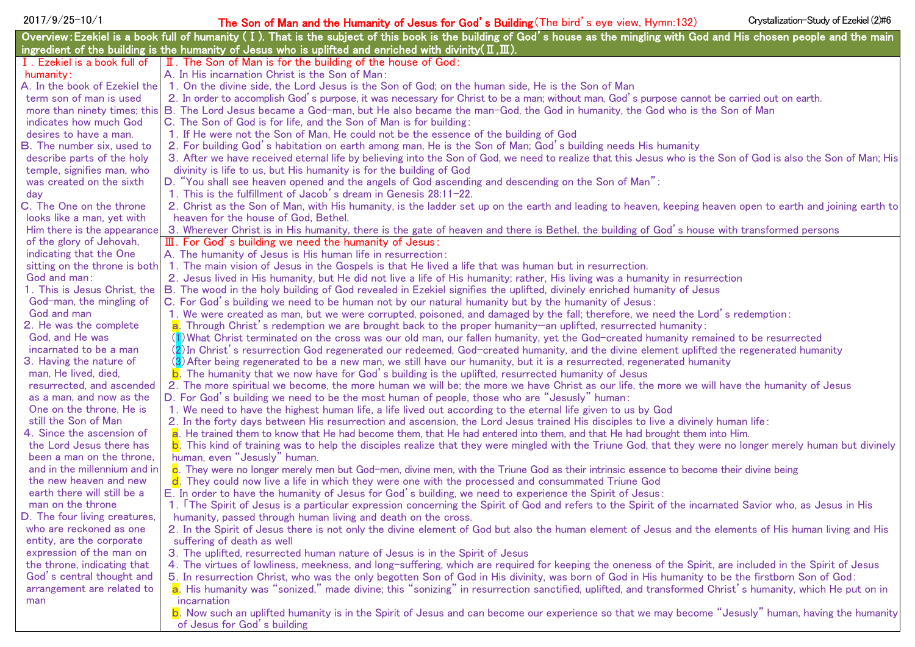| 2017/9/25-10/1                                        | Crystallization-Study of Ezekiel (2)#6<br>The Son of Man and the Humanity of Jesus for God's Building (The bird's eye view, Hymn:132)                                         |
|-------------------------------------------------------|-------------------------------------------------------------------------------------------------------------------------------------------------------------------------------|
|                                                       | Overview: Ezekiel is a book full of humanity (I). That is the subject of this book is the building of God's house as the mingling with God and His chosen people and the main |
|                                                       | ingredient of the building is the humanity of Jesus who is uplifted and enriched with divinity ( $\text{I}, \text{I\!I}$ ).                                                   |
| I. Ezekiel is a book full of                          | II. The Son of Man is for the building of the house of God:                                                                                                                   |
| humanity:                                             | A. In His incarnation Christ is the Son of Man:                                                                                                                               |
| A. In the book of Ezekiel the                         | 1. On the divine side, the Lord Jesus is the Son of God; on the human side, He is the Son of Man                                                                              |
| term son of man is used                               | 2. In order to accomplish God's purpose, it was necessary for Christ to be a man; without man, God's purpose cannot be carried out on earth.                                  |
|                                                       | more than ninety times; this B. The Lord Jesus became a God-man, but He also became the man-God, the God in humanity, the God who is the Son of Man                           |
| indicates how much God                                | C. The Son of God is for life, and the Son of Man is for building:                                                                                                            |
| desires to have a man.                                | 1. If He were not the Son of Man, He could not be the essence of the building of God                                                                                          |
| B. The number six, used to                            | 2. For building God's habitation on earth among man, He is the Son of Man; God's building needs His humanity                                                                  |
| describe parts of the holy                            | 3. After we have received eternal life by believing into the Son of God, we need to realize that this Jesus who is the Son of God is also the Son of Man; His                 |
| temple, signifies man, who                            | divinity is life to us, but His humanity is for the building of God                                                                                                           |
| was created on the sixth                              | D. "You shall see heaven opened and the angels of God ascending and descending on the Son of Man":                                                                            |
| day                                                   | 1. This is the fulfillment of Jacob's dream in Genesis 28:11-22.                                                                                                              |
| C. The One on the throne                              | 2. Christ as the Son of Man, with His humanity, is the ladder set up on the earth and leading to heaven, keeping heaven open to earth and joining earth to                    |
| looks like a man, yet with                            | heaven for the house of God, Bethel.                                                                                                                                          |
| Him there is the appearance                           | 3. Wherever Christ is in His humanity, there is the gate of heaven and there is Bethel, the building of God's house with transformed persons                                  |
| of the glory of Jehovah,<br>indicating that the One   | $\overline{11}$ . For God's building we need the humanity of Jesus:<br>A. The humanity of Jesus is His human life in resurrection:                                            |
| sitting on the throne is both                         | 1. The main vision of Jesus in the Gospels is that He lived a life that was human but in resurrection.                                                                        |
| God and man:                                          | 2. Jesus lived in His humanity, but He did not live a life of His humanity; rather, His living was a humanity in resurrection                                                 |
| 1. This is Jesus Christ, the                          | B. The wood in the holy building of God revealed in Ezekiel signifies the uplifted, divinely enriched humanity of Jesus                                                       |
| God-man, the mingling of                              | C. For God's building we need to be human not by our natural humanity but by the humanity of Jesus:                                                                           |
| God and man                                           | 1. We were created as man, but we were corrupted, poisoned, and damaged by the fall; therefore, we need the Lord's redemption:                                                |
| 2. He was the complete                                | a. Through Christ's redemption we are brought back to the proper humanity—an uplifted, resurrected humanity:                                                                  |
| God, and He was                                       | (1) What Christ terminated on the cross was our old man, our fallen humanity, yet the God-created humanity remained to be resurrected                                         |
| incarnated to be a man                                | (2) In Christ's resurrection God regenerated our redeemed, God-created humanity, and the divine element uplifted the regenerated humanity                                     |
| 3. Having the nature of                               | (3) After being regenerated to be a new man, we still have our humanity, but it is a resurrected, regenerated humanity                                                        |
| man, He lived, died,                                  | b. The humanity that we now have for God's building is the uplifted, resurrected humanity of Jesus                                                                            |
| resurrected, and ascended                             | 2. The more spiritual we become, the more human we will be; the more we have Christ as our life, the more we will have the humanity of Jesus                                  |
| as a man, and now as the                              | D. For God's building we need to be the most human of people, those who are "Jesusly" human:                                                                                  |
| One on the throne, He is                              | 1. We need to have the highest human life, a life lived out according to the eternal life given to us by God                                                                  |
| still the Son of Man                                  | 2. In the forty days between His resurrection and ascension, the Lord Jesus trained His disciples to live a divinely human life:                                              |
| 4. Since the ascension of                             | a. He trained them to know that He had become them, that He had entered into them, and that He had brought them into Him.                                                     |
| the Lord Jesus there has<br>been a man on the throne, | b. This kind of training was to help the disciples realize that they were mingled with the Triune God, that they were no longer merely human but divinely                     |
| and in the millennium and in                          | human, even "Jesusly" human.<br>c. They were no longer merely men but God-men, divine men, with the Triune God as their intrinsic essence to become their divine being        |
| the new heaven and new                                | d. They could now live a life in which they were one with the processed and consummated Triune God                                                                            |
| earth there will still be a                           | E. In order to have the humanity of Jesus for God's building, we need to experience the Spirit of Jesus:                                                                      |
| man on the throne                                     | 1. The Spirit of Jesus is a particular expression concerning the Spirit of God and refers to the Spirit of the incarnated Savior who, as Jesus in His                         |
| D. The four living creatures,                         | humanity, passed through human living and death on the cross.                                                                                                                 |
| who are reckoned as one                               | 2. In the Spirit of Jesus there is not only the divine element of God but also the human element of Jesus and the elements of His human living and His                        |
| entity, are the corporate                             | suffering of death as well                                                                                                                                                    |
| expression of the man on                              | 3. The uplifted, resurrected human nature of Jesus is in the Spirit of Jesus                                                                                                  |
| the throne, indicating that                           | 4. The virtues of lowliness, meekness, and long-suffering, which are required for keeping the oneness of the Spirit, are included in the Spirit of Jesus                      |
| God's central thought and                             | 5. In resurrection Christ, who was the only begotten Son of God in His divinity, was born of God in His humanity to be the firstborn Son of God:                              |
| arrangement are related to                            | a. His humanity was "sonized," made divine; this "sonizing" in resurrection sanctified, uplifted, and transformed Christ's humanity, which He put on in                       |
| man                                                   | incarnation                                                                                                                                                                   |
|                                                       | b. Now such an uplifted humanity is in the Spirit of Jesus and can become our experience so that we may become "Jesusly" human, having the humanity                           |
|                                                       | of Jesus for God's building                                                                                                                                                   |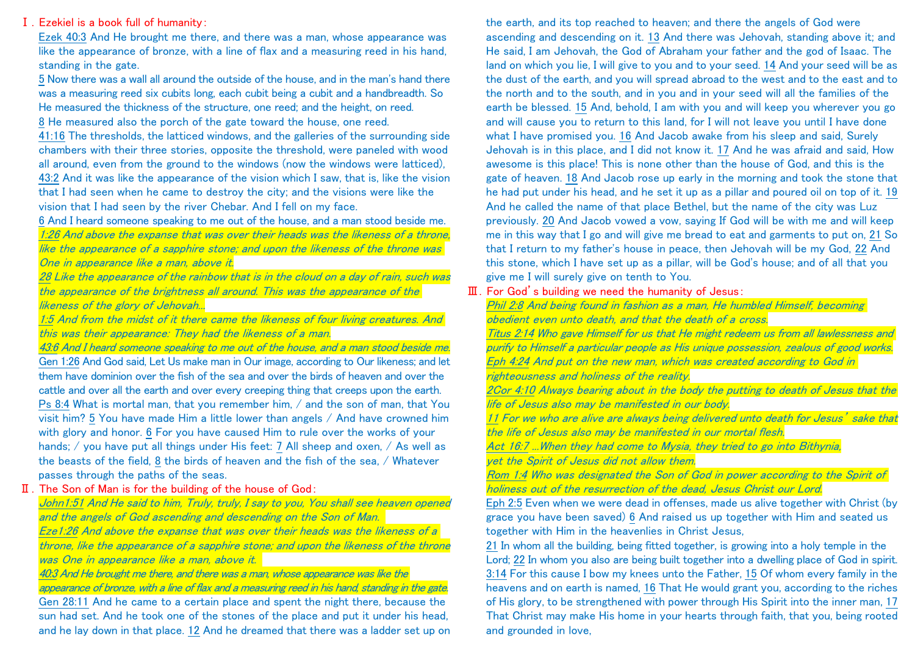## Ⅰ.Ezekiel is a book full of humanity:

Ezek 40:3 And He brought me there, and there was a man, whose appearance was like the appearance of bronze, with a line of flax and a measuring reed in his hand, standing in the gate.

5 Now there was a wall all around the outside of the house, and in the man's hand there was a measuring reed six cubits long, each cubit being a cubit and a handbreadth. So He measured the thickness of the structure, one reed; and the height, on reed.

8 He measured also the porch of the gate toward the house, one reed.

41:16 The thresholds, the latticed windows, and the galleries of the surrounding side chambers with their three stories, opposite the threshold, were paneled with wood all around, even from the ground to the windows (now the windows were latticed), 43:2 And it was like the appearance of the vision which I saw, that is, like the vision that I had seen when he came to destroy the city; and the visions were like the vision that I had seen by the river Chebar. And I fell on my face.

## 6 And I heard someone speaking to me out of the house, and a man stood beside me.

1:26 And above the expanse that was over their heads was the likeness of a throne, like the appearance of a sapphire stone; and upon the likeness of the throne was One in appearance like a man, above it.

28 Like the appearance of the rainbow that is in the cloud on a day of rain, such was the appearance of the brightness all around. This was the appearance of the likeness of the glory of Jehovah...

1:5 And from the midst of it there came the likeness of four living creatures. And this was their appearance: They had the likeness of a man.

43:6 And I heard someone speaking to me out of the house, and a man stood beside me. Gen 1:26 And God said, Let Us make man in Our image, according to Our likeness; and let them have dominion over the fish of the sea and over the birds of heaven and over the cattle and over all the earth and over every creeping thing that creeps upon the earth. Ps 8:4 What is mortal man, that you remember him, / and the son of man, that You visit him? 5 You have made Him a little lower than angels / And have crowned him with glory and honor. 6 For you have caused Him to rule over the works of your hands;  $\prime$  you have put all things under His feet: 7 All sheep and oxen,  $\prime$  As well as the beasts of the field, 8 the birds of heaven and the fish of the sea, / Whatever passes through the paths of the seas.

# Ⅱ.The Son of Man is for the building of the house of God:

John1:51 And He said to him, Truly, truly, I say to you, You shall see heaven opened and the angels of God ascending and descending on the Son of Man. Eze1:26 And above the expanse that was over their heads was the likeness of a throne, like the appearance of a sapphire stone; and upon the likeness of the throne was One in appearance like a man, above it.

40:3 And He brought me there, and there was a man, whose appearance was like the appearance of bronze, with a line of flax and a measuring reed in his hand, standing in the gate. Gen 28:11 And he came to a certain place and spent the night there, because the sun had set. And he took one of the stones of the place and put it under his head, and he lay down in that place. 12 And he dreamed that there was a ladder set up on

the earth, and its top reached to heaven; and there the angels of God were ascending and descending on it. 13 And there was Jehovah, standing above it; and He said, I am Jehovah, the God of Abraham your father and the god of Isaac. The land on which you lie, I will give to you and to your seed. 14 And your seed will be as the dust of the earth, and you will spread abroad to the west and to the east and to the north and to the south, and in you and in your seed will all the families of the earth be blessed. 15 And, behold, I am with you and will keep you wherever you go and will cause you to return to this land, for I will not leave you until I have done what I have promised you. 16 And Jacob awake from his sleep and said, Surely Jehovah is in this place, and I did not know it. 17 And he was afraid and said, How awesome is this place! This is none other than the house of God, and this is the gate of heaven. 18 And Jacob rose up early in the morning and took the stone that he had put under his head, and he set it up as a pillar and poured oil on top of it. 19 And he called the name of that place Bethel, but the name of the city was Luz previously. 20 And Jacob vowed a vow, saying If God will be with me and will keep me in this way that I go and will give me bread to eat and garments to put on, 21 So that I return to my father's house in peace, then Jehovah will be my God, 22 And this stone, which I have set up as a pillar, will be God's house; and of all that you give me I will surely give on tenth to You.

# Ⅲ.For God's building we need the humanity of Jesus:

Phil 2:8 And being found in fashion as a man, He humbled Himself, becoming obedient even unto death, and that the death of a cross.

Titus 2:14 Who gave Himself for us that He might redeem us from all lawlessness and purify to Himself a particular people as His unique possession, zealous of good works. Eph 4:24 And put on the new man, which was created according to God in righteousness and holiness of the reality.

2Cor 4:10 Always bearing about in the body the putting to death of Jesus that the life of Jesus also may be manifested in our body.

11 For we who are alive are always being delivered unto death for Jesus' sake that the life of Jesus also may be manifested in our mortal flesh.

Act 16:7 ... When they had come to Mysia, they tried to go into Bithynia, vet the Spirit of Jesus did not allow them.

Rom 1:4 Who was designated the Son of God in power according to the Spirit of holiness out of the resurrection of the dead, Jesus Christ our Lord.

Eph 2:5 Even when we were dead in offenses, made us alive together with Christ (by grace you have been saved) 6 And raised us up together with Him and seated us together with Him in the heavenlies in Christ Jesus,

21 In whom all the building, being fitted together, is growing into a holy temple in the Lord; 22 In whom you also are being built together into a dwelling place of God in spirit. 3:14 For this cause I bow my knees unto the Father, 15 Of whom every family in the heavens and on earth is named, 16 That He would grant you, according to the riches of His glory, to be strengthened with power through His Spirit into the inner man, 17 That Christ may make His home in your hearts through faith, that you, being rooted and grounded in love,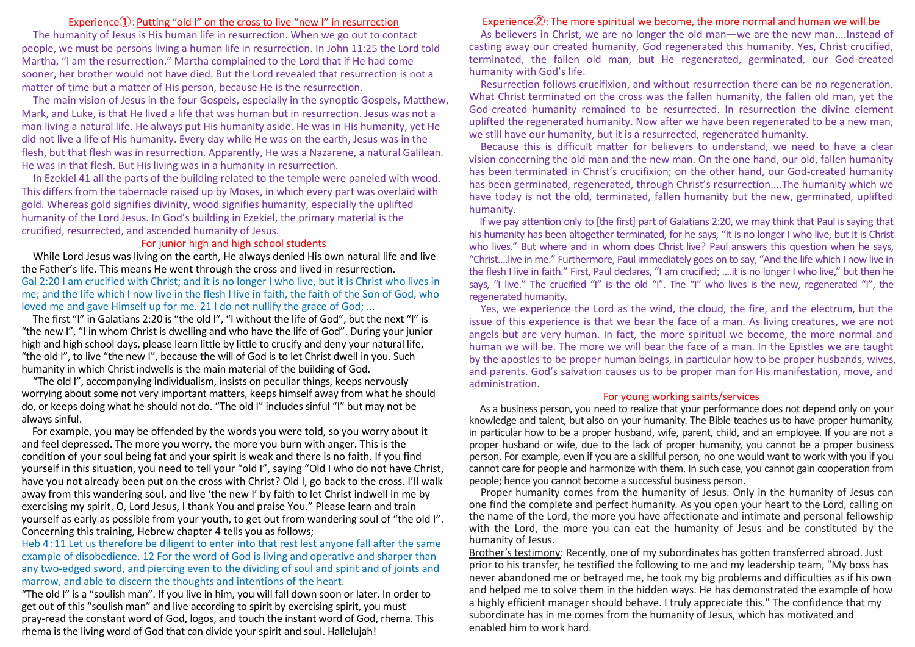# Experience $\mathbb{O}$ : Putting "old I" on the cross to live "new I" in resurrection

The humanity of Jesus is His human life in resurrection. When we go out to contact people, we must be persons living a human life in resurrection. In John 11:25 the Lord told Martha, "I am the resurrection." Martha complained to the Lord that if He had come sooner, her brother would not have died. But the Lord revealed that resurrection is not a matter of time but a matter of His person, because He is the resurrection.

The main vision of Jesus in the four Gospels, especially in the synoptic Gospels, Matthew, Mark, and Luke, is that He lived a life that was human but in resurrection. Jesus was not a man living a natural life. He always put His humanity aside. He was in His humanity, yet He did not live a life of His humanity. Every day while He was on the earth, Jesus was in the flesh, but that flesh was in resurrection. Apparently, He was a Nazarene, a natural Galilean. He was in that flesh. But His living was in a humanity in resurrection.

In Ezekiel 41 all the parts of the building related to the temple were paneled with wood. This differs from the tabernacle raised up by Moses, in which every part was overlaid with gold. Whereas gold signifies divinity, wood signifies humanity, especially the uplifted humanity of the Lord Jesus. In God's building in Ezekiel, the primary material is the crucified, resurrected, and ascended humanity of Jesus.

### For junior high and high school students

While Lord Jesus was living on the earth, He always denied His own natural life and live the Father's life. This means He went through the cross and lived in resurrection. Gal 2:20 I am crucified with Christ; and it is no longer I who live, but it is Christ who lives in me; and the life which I now live in the flesh I live in faith, the faith of the Son of God, who loved me and gave Himself up for me. 21 I do not nullify the grace of God; ...

The first "I" in Galatians 2:20 is "the old I", "I without the life of God", but the next "I" is "the new I", "I in whom Christ is dwelling and who have the life of God". During your junior high and high school days, please learn little by little to crucify and deny your natural life, "the old I", to live "the new I", because the will of God is to let Christ dwell in you. Such humanity in which Christ indwells is the main material of the building of God.

"The old I", accompanying individualism, insists on peculiar things, keeps nervously worrying about some not very important matters, keeps himself away from what he should do, or keeps doing what he should not do. "The old I" includes sinful "I" but may not be always sinful.

For example, you may be offended by the words you were told, so you worry about it and feel depressed. The more you worry, the more you burn with anger. This is the condition of your soul being fat and your spirit is weak and there is no faith. If you find yourself in this situation, you need to tell your "old I", saying "Old I who do not have Christ, have you not already been put on the cross with Christ? Old I, go back to the cross. I'll walk away from this wandering soul, and live 'the new I' by faith to let Christ indwell in me by exercising my spirit. O, Lord Jesus, I thank You and praise You." Please learn and train yourself as early as possible from your youth, to get out from wandering soul of "the old I". Concerning this training, Hebrew chapter 4 tells you as follows;

Heb 4:11 Let us therefore be diligent to enter into that rest lest anyone fall after the same example of disobedience. 12 For the word of God is living and operative and sharper than any two-edged sword, and piercing even to the dividing of soul and spirit and of joints and marrow, and able to discern the thoughts and intentions of the heart.

"The old I" is a "soulish man". If you live in him, you will fall down soon or later. In order to get out of this "soulish man" and live according to spirit by exercising spirit, you must pray-read the constant word of God, logos, and touch the instant word of God, rhema. This rhema is the living word of God that can divide your spirit and soul. Hallelujah!

### Experience②:The more spiritual we become, the more normal and human we will be

As believers in Christ, we are no longer the old man—we are the new man....Instead of casting away our created humanity, God regenerated this humanity. Yes, Christ crucified, terminated, the fallen old man, but He regenerated, germinated, our God-created humanity with God's life.

Resurrection follows crucifixion, and without resurrection there can be no regeneration. What Christ terminated on the cross was the fallen humanity, the fallen old man, yet the God-created humanity remained to be resurrected. In resurrection the divine element uplifted the regenerated humanity. Now after we have been regenerated to be a new man, we still have our humanity, but it is a resurrected, regenerated humanity.

Because this is difficult matter for believers to understand, we need to have a clear vision concerning the old man and the new man. On the one hand, our old, fallen humanity has been terminated in Christ's crucifixion; on the other hand, our God-created humanity has been germinated, regenerated, through Christ's resurrection....The humanity which we have today is not the old, terminated, fallen humanity but the new, germinated, uplifted humanity.

If we pay attention only to [the first] part of Galatians 2:20, we may think that Paul is saying that his humanity has been altogether terminated, for he says, "It is no longer I who live, but it is Christ who lives." But where and in whom does Christ live? Paul answers this question when he says, "Christ....live in me." Furthermore, Paul immediately goes on to say, "And the life which I now live in the flesh I live in faith." First, Paul declares, "I am crucified; ....it is no longer I who live," but then he says, "I live." The crucified "I" is the old "I". The "I" who lives is the new, regenerated "I", the regenerated humanity.

Yes, we experience the Lord as the wind, the cloud, the fire, and the electrum, but the issue of this experience is that we bear the face of a man. As living creatures, we are not angels but are very human. In fact, the more spiritual we become, the more normal and human we will be. The more we will bear the face of a man. In the Epistles we are taught by the apostles to be proper human beings, in particular how to be proper husbands, wives, and parents. God's salvation causes us to be proper man for His manifestation, move, and administration.

### For young working saints/services

As a business person, you need to realize that your performance does not depend only on your knowledge and talent, but also on your humanity. The Bible teaches us to have proper humanity, in particular how to be a proper husband, wife, parent, child, and an employee. If you are not a proper husband or wife, due to the lack of proper humanity, you cannot be a proper business person. For example, even if you are a skillful person, no one would want to work with you if you cannot care for people and harmonize with them. In such case, you cannot gain cooperation from people; hence you cannot become a successful business person.

Proper humanity comes from the humanity of Jesus. Only in the humanity of Jesus can one find the complete and perfect humanity. As you open your heart to the Lord, calling on the name of the Lord, the more you have affectionate and intimate and personal fellowship with the Lord, the more you can eat the humanity of Jesus and be constituted by the humanity of Jesus.

Brother's testimony: Recently, one of my subordinates has gotten transferred abroad. Just prior to his transfer, he testified the following to me and my leadership team, "My boss has never abandoned me or betrayed me, he took my big problems and difficulties as if his own and helped me to solve them in the hidden ways. He has demonstrated the example of how a highly efficient manager should behave. I truly appreciate this." The confidence that my subordinate has in me comes from the humanity of Jesus, which has motivated and enabled him to work hard.